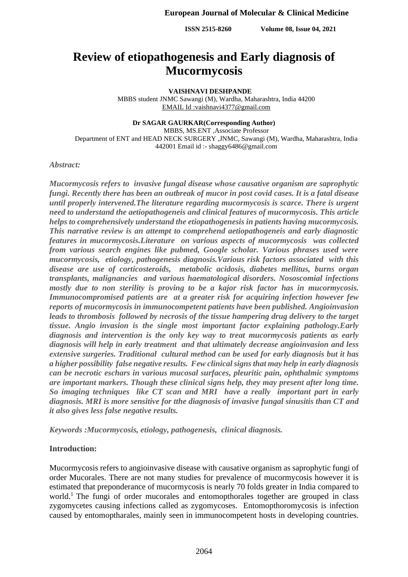# **Review of etiopathogenesis and Early diagnosis of Mucormycosis**

### **VAISHNAVI DESHPANDE**

MBBS student JNMC Sawangi (M), Wardha, Maharashtra, India 44200 EMAIL Id :vaishnavi4377@gmail.com

### **Dr SAGAR GAURKAR(Corresponding Author)**

MBBS, MS.ENT ,Associate Professor Department of ENT and HEAD NECK SURGERY ,JNMC, Sawangi (M), Wardha, Maharashtra, India 442001 Email id :- shaggy6486@gmail.com

# *Abstract:*

*Mucormycosis refers to invasive fungal disease whose causative organism are saprophytic fungi. Recently there has been an outbreak of mucor in post covid cases. It is a fatal disease until properly intervened.The literature regarding mucormycosis is scarce. There is urgent need to understand the aetiopathogeneis and clinical features of mucormycosis. This article helps to comprehensively understand the etiopathogenesis in patients having mucormycosis. This narrative review is an attempt to comprehend aetiopathogeneis and early diagnostic features in mucormycosis.Literature on various aspects of mucormycosis was collected from various search engines like pubmed, Google scholar. Various phrases used were mucormycosis, etiology, pathogenesis diagnosis.Various risk factors associated with this disease are use of corticosteroids, metabolic acidosis, diabetes mellitus, burns organ transplants, malignancies and various haematological disorders. Nososcomial infections mostly due to non sterility is proving to be a kajor risk factor has in mucormycosis. Immunocompromised patients are at a greater risk for acquiring infection however few reports of mucormycosis in immunocompetent patients have been published. Angioinvasion leads to thrombosis followed by necrosis of the tissue hampering drug delivery to the target tissue. Angio invasion is the single most important factor explaining pathology.Early diagnosis and intervention is the only key way to treat mucormycosis patients as early diagnosis will help in early treatment and that ultimately decrease angioinvasion and less extensive surgeries. Traditional cultural method can be used for early diagnosis but it has a higher possibility false negative results. Few clinical signs that may help in early diagnosis can be necrotic eschars in various mucosal surfaces, pleuritic pain, ophthalmic symptoms are important markers. Though these clinical signs help, they may present after long time. So imaging techniques like CT scan and MRI have a really important part in early diagnosis. MRI is more sensitive for tthe diagnosis of invasive fungal sinusitis than CT and it also gives less false negative results.*

*Keywords :Mucormycosis, etiology, pathogenesis, clinical diagnosis.* 

# **Introduction:**

Mucormycosis refers to angioinvasive disease with causative organism as saprophytic fungi of order Mucorales. There are not many studies for prevalence of mucormycosis however it is estimated that preponderance of mucormycosis is nearly 70 folds greater in India compared to world.<sup>1</sup> The fungi of order mucorales and entomopthorales together are grouped in class zygomycetes causing infections called as zygomycoses. Entomopthoromycosis is infection caused by entomoptharales, mainly seen in immunocompetent hosts in developing countries.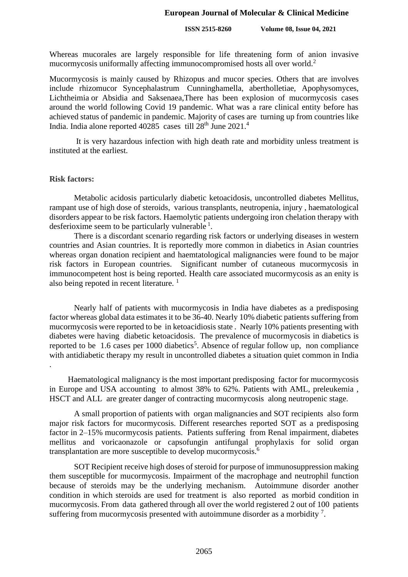Whereas mucorales are largely responsible for life threatening form of anion invasive mucormycosis uniformally affecting immunocompromised hosts all over world. 2

Mucormycosis is mainly caused by Rhizopus and mucor species. Others that are involves include rhizomucor Syncephalastrum Cunninghamella, abertholletiae, Apophysomyces, Lichtheimia or Absidia and Saksenaea,There has been explosion of mucormycosis cases around the world following Covid 19 pandemic. What was a rare clinical entity before has achieved status of pandemic in pandemic. Majority of cases are turning up from countries like India. India alone reported 40285 cases till 28<sup>th</sup> June 2021.<sup>4</sup>

It is very hazardous infection with high death rate and morbidity unless treatment is instituted at the earliest.

### **Risk factors:**

Metabolic acidosis particularly diabetic ketoacidosis, uncontrolled diabetes Mellitus, rampant use of high dose of steroids, various transplants, neutropenia, injury , haematological disorders appear to be risk factors. Haemolytic patients undergoing iron chelation therapy with desferioxime seem to be particularly vulnerable  $<sup>1</sup>$ .</sup>

There is a discordant scenario regarding risk factors or underlying diseases in western countries and Asian countries. It is reportedly more common in diabetics in Asian countries whereas organ donation recipient and haemtatological malignancies were found to be major risk factors in European countries. Significant number of cutaneous mucormycosis in immunocompetent host is being reported. Health care associated mucormycosis as an enity is also being repoted in recent literature.  $<sup>1</sup>$ </sup>

Nearly half of patients with mucormycosis in India have diabetes as a predisposing factor whereas global data estimates it to be 36-40. Nearly 10% diabetic patients suffering from mucormycosis were reported to be in ketoacidiosis state . Nearly 10% patients presenting with diabetes were having diabetic ketoacidosis. The prevalence of mucormycosis in diabetics is reported to be 1.6 cases per 1000 diabetics<sup>5</sup>. Absence of regular follow up, non compliance with antidiabetic therapy my result in uncontrolled diabetes a situation quiet common in India .

 Haematological malignancy is the most important predisposing factor for mucormycosis in Europe and USA accounting to almost 38% to 62%. Patients with AML, preleukemia , HSCT and ALL are greater danger of contracting mucormycosis along neutropenic stage.

A small proportion of patients with organ malignancies and SOT recipients also form major risk factors for mucormycosis. Different researches reported SOT as a predisposing factor in 2–15% mucormycosis patients. Patients suffering from Renal impairment, diabetes mellitus and voricaonazole or capsofungin antifungal prophylaxis for solid organ transplantation are more susceptible to develop mucormycosis.<sup>6</sup>

SOT Recipient receive high doses of steroid for purpose of immunosuppression making them susceptible for mucormycosis. Impairment of the macrophage and neutrophil function because of steroids may be the underlying mechanism. Autoimmune disorder another condition in which steroids are used for treatment is also reported as morbid condition in mucormycosis. From data gathered through all over the world registered 2 out of 100 patients suffering from mucormycosis presented with autoimmune disorder as a morbidity  $^7$ .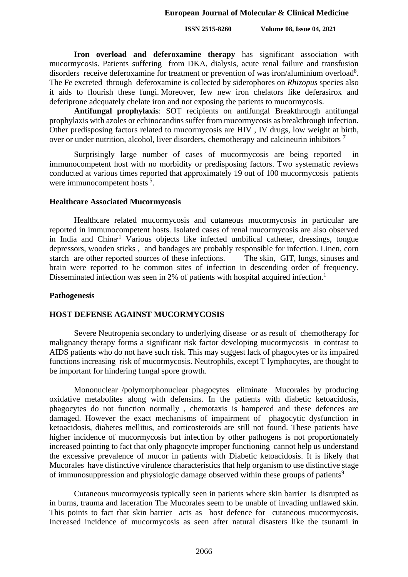**Iron overload and deferoxamine therapy** has significant association with mucormycosis. Patients suffering from DKA, dialysis, acute renal failure and transfusion disorders receive deferoxamine for treatment or prevention of was iron/aluminium overload<sup>8</sup>. The Fe excreted through deferoxamine is collected by siderophores on *Rhizopus* species also it aids to flourish these fungi. Moreover, few new iron chelators like deferasirox and deferiprone adequately chelate iron and not exposing the patients to mucormycosis.

**Antifungal prophylaxis**: SOT recipients on antifungal Breakthrough antifungal prophylaxis with azoles or echinocandins suffer from mucormycosis as breakthrough infection. Other predisposing factors related to mucormycosis are HIV , IV drugs, low weight at birth, over or under nutrition, alcohol, liver disorders, chemotherapy and calcineurin inhibitors<sup>7</sup>

Surprisingly large number of cases of mucormycosis are being reported in immunocompetent host with no morbidity or predisposing factors. Two systematic reviews conducted at various times reported that approximately 19 out of 100 mucormycosis patients were immunocompetent hosts<sup>5</sup>.

# **Healthcare Associated Mucormycosis**

Healthcare related mucormycosis and cutaneous mucormycosis in particular are reported in immunocompetent hosts. Isolated cases of renal mucormycosis are also observed in India and China**.**<sup>1</sup> Various objects like infected umbilical catheter, dressings, tongue depressors, wooden sticks , and bandages are probably responsible for infection. Linen, corn starch are other reported sources of these infections. The skin, GIT, lungs, sinuses and brain were reported to be common sites of infection in descending order of frequency. Disseminated infection was seen in 2% of patients with hospital acquired infection.<sup>1</sup>

### **Pathogenesis**

# **HOST DEFENSE AGAINST MUCORMYCOSIS**

Severe Neutropenia secondary to underlying disease or as result of chemotherapy for malignancy therapy forms a significant risk factor developing mucormycosis in contrast to AIDS patients who do not have such risk. This may suggest lack of phagocytes or its impaired functions increasing risk of mucormycosis. Neutrophils, except T lymphocytes, are thought to be important for hindering fungal spore growth.

Mononuclear /polymorphonuclear phagocytes eliminate Mucorales by producing oxidative metabolites along with defensins. In the patients with diabetic ketoacidosis, phagocytes do not function normally , chemotaxis is hampered and these defences are damaged. However the exact mechanisms of impairment of phagocytic dysfunction in ketoacidosis, diabetes mellitus, and corticosteroids are still not found. These patients have higher incidence of mucormycosis but infection by other pathogens is not proportionately increased pointing to fact that only phagocyte improper functioning cannot help us understand the excessive prevalence of mucor in patients with Diabetic ketoacidosis. It is likely that Mucorales have distinctive virulence characteristics that help organism to use distinctive stage of immunosuppression and physiologic damage observed within these groups of patients<sup>9</sup>

Cutaneous mucormycosis typically seen in patients where skin barrier is disrupted as in burns, trauma and laceration The Mucorales seem to be unable of invading unflawed skin. This points to fact that skin barrier acts as host defence for cutaneous mucormycosis. Increased incidence of mucormycosis as seen after natural disasters like the tsunami in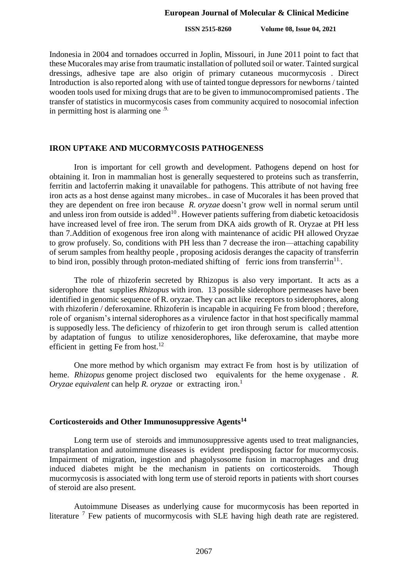**ISSN 2515-8260 Volume 08, Issue 04, 2021**

Indonesia in 2004 and tornadoes occurred in Joplin, Missouri, in June 2011 point to fact that these Mucorales may arise from traumatic installation of polluted soil or water. Tainted surgical dressings, adhesive tape are also origin of primary cutaneous mucormycosis . Direct Introduction is also reported along with use of tainted tongue depressors for newborns / tainted wooden tools used for mixing drugs that are to be given to immunocompromised patients . The transfer of statistics in mucormycosis cases from community acquired to nosocomial infection in permitting host is alarming one  $\cdot$ <sup>9.</sup>

### **IRON UPTAKE AND MUCORMYCOSIS PATHOGENESS**

Iron is important for cell growth and development. Pathogens depend on host for obtaining it. Iron in mammalian host is generally sequestered to proteins such as transferrin, ferritin and lactoferrin making it unavailable for pathogens. This attribute of not having free iron acts as a host dense against many microbes.. in case of Mucorales it has been proved that they are dependent on free iron because *R. oryzae* doesn't grow well in normal serum until and unless iron from outside is added $^{10}$  . However patients suffering from diabetic ketoacidosis have increased level of free iron. The serum from DKA aids growth of R. Oryzae at PH less than 7.Addition of exogenous free iron along with maintenance of acidic PH allowed Oryzae to grow profusely. So, conditions with PH less than 7 decrease the iron—attaching capability of serum samples from healthy people , proposing acidosis deranges the capacity of transferrin to bind iron, possibly through proton-mediated shifting of ferric ions from transferrin<sup>11</sup>.

The role of rhizoferin secreted by Rhizopus is also very important. It acts as a siderophore that supplies *Rhizopus* with iron. 13 possible siderophore permeases have been identified in genomic sequence of R. oryzae. They can act like receptors to siderophores, along with rhizoferin / deferoxamine. Rhizoferin is incapable in acquiring Fe from blood; therefore, role of organism's internal siderophores as a virulence factor in that host specifically mammal is supposedly less. The deficiency of rhizoferin to get iron through serum is called attention by adaptation of fungus to utilize xenosiderophores, like deferoxamine, that maybe more efficient in getting Fe from host.<sup>12</sup>

One more method by which organism may extract Fe from host is by utilization of heme. *Rhizopus* genome project disclosed two equivalents for the heme oxygenase . *R. Oryzae equivalent* can help *R. oryzae* or extracting iron.<sup>1</sup>

### **Corticosteroids and Other Immunosuppressive Agents<sup>14</sup>**

Long term use of steroids and immunosuppressive agents used to treat malignancies, transplantation and autoimmune diseases is evident predisposing factor for mucormycosis. Impairment of migration, ingestion and phagolysosome fusion in macrophages and drug induced diabetes might be the mechanism in patients on corticosteroids. Though mucormycosis is associated with long term use of steroid reports in patients with short courses of steroid are also present.

Autoimmune Diseases as underlying cause for mucormycosis has been reported in literature  $<sup>7</sup>$  Few patients of mucormycosis with SLE having high death rate are registered.</sup>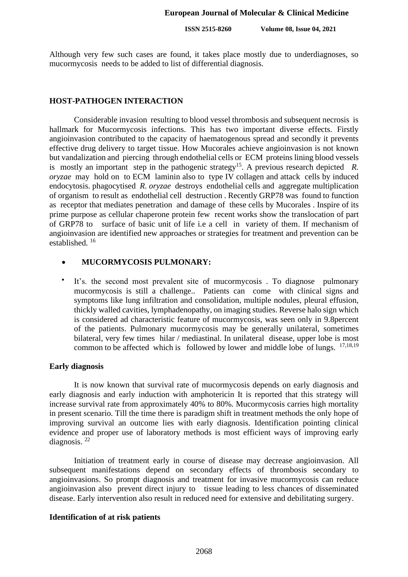Although very few such cases are found, it takes place mostly due to underdiagnoses, so mucormycosis needs to be added to list of differential diagnosis.

### **HOST-PATHOGEN INTERACTION**

Considerable invasion resulting to blood vessel thrombosis and subsequent necrosis is hallmark for Mucormycosis infections. This has two important diverse effects. Firstly angioinvasion contributed to the capacity of haematogenous spread and secondly it prevents effective drug delivery to target tissue. How Mucorales achieve angioinvasion is not known but vandalization and piercing through endothelial cells or ECM proteins lining blood vessels is mostly an important step in the pathogenic strategy<sup>15</sup>. A previous research depicted R. *oryzae* may hold on to ECM laminin also to type IV collagen and attack cells by induced endocytosis. phagocytised *R. oryzae* destroys endothelial cells and aggregate multiplication of organism to result as endothelial cell destruction . Recently GRP78 was found to function as receptor that mediates penetration and damage of these cells by Mucorales . Inspire of its prime purpose as cellular chaperone protein few recent works show the translocation of part of GRP78 to surface of basic unit of life i.e a cell in variety of them. If mechanism of angioinvasion are identified new approaches or strategies for treatment and prevention can be established. <sup>16</sup>

#### • **MUCORMYCOSIS PULMONARY:**

• It's. the second most prevalent site of mucormycosis . To diagnose pulmonary mucormycosis is still a challenge.. Patients can come with clinical signs and symptoms like lung infiltration and consolidation, multiple nodules, pleural effusion, thickly walled cavities, lymphadenopathy, on imaging studies. Reverse halo sign which is considered ad characteristic feature of mucormycosis, was seen only in 9.8percent of the patients. Pulmonary mucormycosis may be generally unilateral, sometimes bilateral, very few times hilar / mediastinal. In unilateral disease, upper lobe is most common to be affected which is followed by lower and middle lobe of lungs.  $17,18,19$ 

### **Early diagnosis**

It is now known that survival rate of mucormycosis depends on early diagnosis and early diagnosis and early induction with amphotericin It is reported that this strategy will increase survival rate from approximately 40% to 80%. Mucormycosis carries high mortality in present scenario. Till the time there is paradigm shift in treatment methods the only hope of improving survival an outcome lies with early diagnosis. Identification pointing clinical evidence and proper use of laboratory methods is most efficient ways of improving early diagnosis. <sup>22</sup>

Initiation of treatment early in course of disease may decrease angioinvasion. All subsequent manifestations depend on secondary effects of thrombosis secondary to angioinvasions. So prompt diagnosis and treatment for invasive mucormycosis can reduce angioinvasion also prevent direct injury to tissue leading to less chances of disseminated disease. Early intervention also result in reduced need for extensive and debilitating surgery.

# **Identification of at risk patients**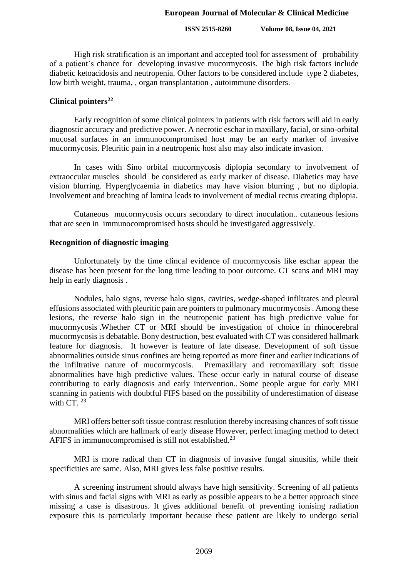### **ISSN 2515-8260 Volume 08, Issue 04, 2021**

High risk stratification is an important and accepted tool for assessment of probability of a patient's chance for developing invasive mucormycosis. The high risk factors include diabetic ketoacidosis and neutropenia. Other factors to be considered include type 2 diabetes, low birth weight, trauma, , organ transplantation , autoimmune disorders.

### **Clinical pointers<sup>22</sup>**

Early recognition of some clinical pointers in patients with risk factors will aid in early diagnostic accuracy and predictive power. A necrotic eschar in maxillary, facial, or sino-orbital mucosal surfaces in an immunocompromised host may be an early marker of invasive mucormycosis. Pleuritic pain in a neutropenic host also may also indicate invasion.

In cases with Sino orbital mucormycosis diplopia secondary to involvement of extraoccular muscles should be considered as early marker of disease. Diabetics may have vision blurring. Hyperglycaemia in diabetics may have vision blurring , but no diplopia. Involvement and breaching of lamina leads to involvement of medial rectus creating diplopia.

Cutaneous mucormycosis occurs secondary to direct inoculation.. cutaneous lesions that are seen in immunocompromised hosts should be investigated aggressively.

### **Recognition of diagnostic imaging**

Unfortunately by the time clincal evidence of mucormycosis like eschar appear the disease has been present for the long time leading to poor outcome. CT scans and MRI may help in early diagnosis .

Nodules, halo signs, reverse halo signs, cavities, wedge-shaped infiltrates and pleural effusions associated with pleuritic pain are pointers to pulmonary mucormycosis . Among these lesions, the reverse halo sign in the neutropenic patient has high predictive value for mucormycosis .Whether CT or MRI should be investigation of choice in rhinocerebral mucormycosis is debatable. Bony destruction, best evaluated with CT was considered hallmark feature for diagnosis. It however is feature of late disease. Development of soft tissue abnormalities outside sinus confines are being reported as more finer and earlier indications of the infiltrative nature of mucormycosis. Premaxillary and retromaxillary soft tissue abnormalities have high predictive values. These occur early in natural course of disease contributing to early diagnosis and early intervention.. Some people argue for early MRI scanning in patients with doubtful FIFS based on the possibility of underestimation of disease with CT. **<sup>23</sup>**

MRI offers better soft tissue contrast resolution thereby increasing chances of soft tissue abnormalities which are hallmark of early disease However, perfect imaging method to detect AFIFS in immunocompromised is still not established.<sup>23</sup>

MRI is more radical than CT in diagnosis of invasive fungal sinusitis, while their specificities are same. Also, MRI gives less false positive results.

A screening instrument should always have high sensitivity. Screening of all patients with sinus and facial signs with MRI as early as possible appears to be a better approach since missing a case is disastrous. It gives additional benefit of preventing ionising radiation exposure this is particularly important because these patient are likely to undergo serial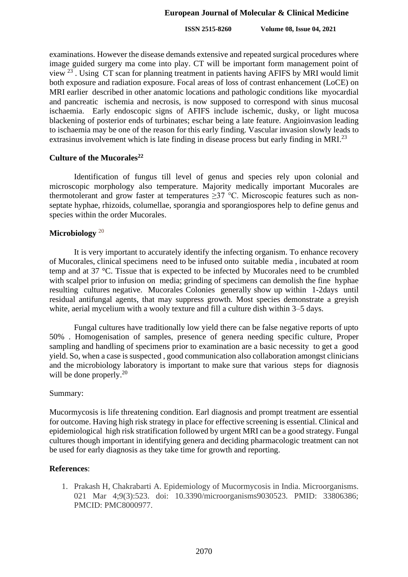**ISSN 2515-8260 Volume 08, Issue 04, 2021**

examinations. However the disease demands extensive and repeated surgical procedures where image guided surgery ma come into play. CT will be important form management point of view<sup>23</sup>. Using CT scan for planning treatment in patients having AFIFS by MRI would limit both exposure and radiation exposure. Focal areas of loss of contrast enhancement (LoCE) on MRI earlier described in other anatomic locations and pathologic conditions like myocardial and pancreatic ischemia and necrosis, is now supposed to correspond with sinus mucosal ischaemia. Early endoscopic signs of AFIFS include ischemic, dusky, or light mucosa blackening of posterior ends of turbinates; eschar being a late feature. Angioinvasion leading to ischaemia may be one of the reason for this early finding. Vascular invasion slowly leads to extrasinus involvement which is late finding in disease process but early finding in MRI.<sup>23</sup>

# **Culture of the Mucorales<sup>22</sup>**

Identification of fungus till level of genus and species rely upon colonial and microscopic morphology also temperature. Majority medically important Mucorales are thermotolerant and grow faster at temperatures  $\geq$ 37 °C. Microscopic features such as nonseptate hyphae, rhizoids, columellae, sporangia and sporangiospores help to define genus and species within the order Mucorales.

# **Microbiology** <sup>20</sup>

It is very important to accurately identify the infecting organism. To enhance recovery of Mucorales, clinical specimens need to be infused onto suitable media , incubated at room temp and at 37 °C. Tissue that is expected to be infected by Mucorales need to be crumbled with scalpel prior to infusion on media; grinding of specimens can demolish the fine hyphae resulting cultures negative. Mucorales Colonies generally show up within 1-2days until residual antifungal agents, that may suppress growth. Most species demonstrate a greyish white, aerial mycelium with a wooly texture and fill a culture dish within 3–5 days.

Fungal cultures have traditionally low yield there can be false negative reports of upto 50% . Homogenisation of samples, presence of genera needing specific culture, Proper sampling and handling of specimens prior to examination are a basic necessity to get a good yield. So, when a case is suspected , good communication also collaboration amongst clinicians and the microbiology laboratory is important to make sure that various steps for diagnosis will be done properly.<sup>20</sup>

### Summary:

Mucormycosis is life threatening condition. Earl diagnosis and prompt treatment are essential for outcome. Having high risk strategy in place for effective screening is essential. Clinical and epidemiological high risk stratification followed by urgent MRI can be a good strategy. Fungal cultures though important in identifying genera and deciding pharmacologic treatment can not be used for early diagnosis as they take time for growth and reporting.

# **References**:

1. Prakash H, Chakrabarti A. Epidemiology of Mucormycosis in India. Microorganisms. 021 Mar 4;9(3):523. doi: 10.3390/microorganisms9030523. PMID: 33806386; PMCID: PMC8000977.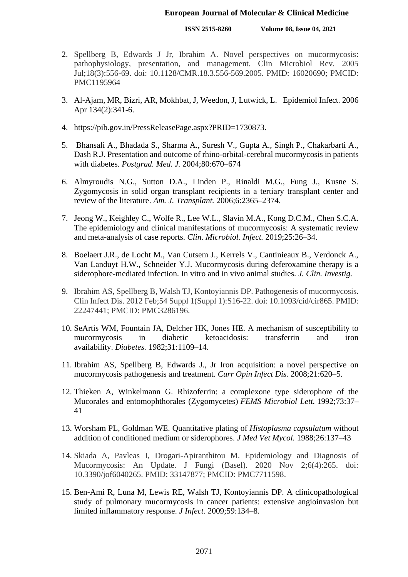**ISSN 2515-8260 Volume 08, Issue 04, 2021**

- 2. Spellberg B, Edwards J Jr, Ibrahim A. Novel perspectives on mucormycosis: pathophysiology, presentation, and management. Clin Microbiol Rev. 2005 Jul;18(3):556-69. doi: 10.1128/CMR.18.3.556-569.2005. PMID: 16020690; PMCID: PMC1195964
- 3. Al-Ajam, MR, Bizri, AR, Mokhbat, J, Weedon, J, Lutwick, L. Epidemiol Infect. 2006 Apr 134(2):341-6.
- 4. https://pib.gov.in/PressReleasePage.aspx?PRID=1730873.
- 5. Bhansali A., Bhadada S., Sharma A., Suresh V., Gupta A., Singh P., Chakarbarti A., Dash R.J. Presentation and outcome of rhino-orbital-cerebral mucormycosis in patients with diabetes. *Postgrad. Med. J.* 2004;80:670–674
- 6. Almyroudis N.G., Sutton D.A., Linden P., Rinaldi M.G., Fung J., Kusne S. Zygomycosis in solid organ transplant recipients in a tertiary transplant center and review of the literature. *Am. J. Transplant.* 2006;6:2365–2374.
- 7. Jeong W., Keighley C., Wolfe R., Lee W.L., Slavin M.A., Kong D.C.M., Chen S.C.A. The epidemiology and clinical manifestations of mucormycosis: A systematic review and meta-analysis of case reports. *Clin. Microbiol. Infect.* 2019;25:26–34.
- 8. Boelaert J.R., de Locht M., Van Cutsem J., Kerrels V., Cantinieaux B., Verdonck A., Van Landuyt H.W., Schneider Y.J. Mucormycosis during deferoxamine therapy is a siderophore-mediated infection. In vitro and in vivo animal studies. *J. Clin. Investig.*
- 9. Ibrahim AS, Spellberg B, Walsh TJ, Kontoyiannis DP. Pathogenesis of mucormycosis. Clin Infect Dis. 2012 Feb;54 Suppl 1(Suppl 1):S16-22. doi: 10.1093/cid/cir865. PMID: 22247441; PMCID: PMC3286196.
- 10. SeArtis WM, Fountain JA, Delcher HK, Jones HE. A mechanism of susceptibility to mucormycosis in diabetic ketoacidosis: transferrin and iron availability. *Diabetes.* 1982;31:1109–14.
- 11. Ibrahim AS, Spellberg B, Edwards J., Jr Iron acquisition: a novel perspective on mucormycosis pathogenesis and treatment. *Curr Opin Infect Dis.* 2008;21:620–5.
- 12. Thieken A, Winkelmann G. Rhizoferrin: a complexone type siderophore of the Mucorales and entomophthorales (Zygomycetes) *FEMS Microbiol Lett.* 1992;73:37– 41
- 13. Worsham PL, Goldman WE. Quantitative plating of *Histoplasma capsulatum* without addition of conditioned medium or siderophores. *J Med Vet Mycol.* 1988;26:137–43
- 14. Skiada A, Pavleas I, Drogari-Apiranthitou M. Epidemiology and Diagnosis of Mucormycosis: An Update. J Fungi (Basel). 2020 Nov 2;6(4):265. doi: 10.3390/jof6040265. PMID: 33147877; PMCID: PMC7711598.
- 15. Ben-Ami R, Luna M, Lewis RE, Walsh TJ, Kontoyiannis DP. A clinicopathological study of pulmonary mucormycosis in cancer patients: extensive angioinvasion but limited inflammatory response. *J Infect.* 2009;59:134–8.